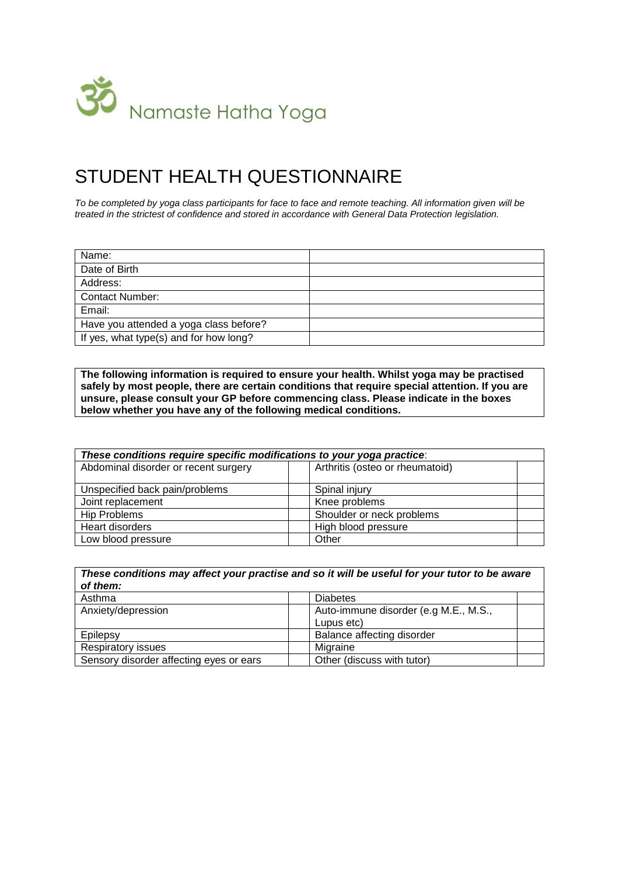

## STUDENT HEALTH QUESTIONNAIRE

*To be completed by yoga class participants for face to face and remote teaching. All information given will be treated in the strictest of confidence and stored in accordance with General Data Protection legislation.*

| Name:                                  |  |
|----------------------------------------|--|
| Date of Birth                          |  |
| Address:                               |  |
| <b>Contact Number:</b>                 |  |
| Email:                                 |  |
| Have you attended a yoga class before? |  |
| If yes, what type(s) and for how long? |  |

**The following information is required to ensure your health. Whilst yoga may be practised safely by most people, there are certain conditions that require special attention. If you are unsure, please consult your GP before commencing class. Please indicate in the boxes below whether you have any of the following medical conditions.**

| These conditions require specific modifications to your yoga practice: |                                 |  |  |
|------------------------------------------------------------------------|---------------------------------|--|--|
| Abdominal disorder or recent surgery                                   | Arthritis (osteo or rheumatoid) |  |  |
| Unspecified back pain/problems                                         | Spinal injury                   |  |  |
| Joint replacement                                                      | Knee problems                   |  |  |
| <b>Hip Problems</b>                                                    | Shoulder or neck problems       |  |  |
| Heart disorders                                                        | High blood pressure             |  |  |
| Low blood pressure                                                     | Other                           |  |  |

| These conditions may affect your practise and so it will be useful for your tutor to be aware<br>of them: |                                                     |  |
|-----------------------------------------------------------------------------------------------------------|-----------------------------------------------------|--|
| Asthma                                                                                                    | <b>Diabetes</b>                                     |  |
| Anxiety/depression                                                                                        | Auto-immune disorder (e.g M.E., M.S.,<br>Lupus etc) |  |
| Epilepsy                                                                                                  | Balance affecting disorder                          |  |
| <b>Respiratory issues</b>                                                                                 | Migraine                                            |  |
| Sensory disorder affecting eyes or ears                                                                   | Other (discuss with tutor)                          |  |